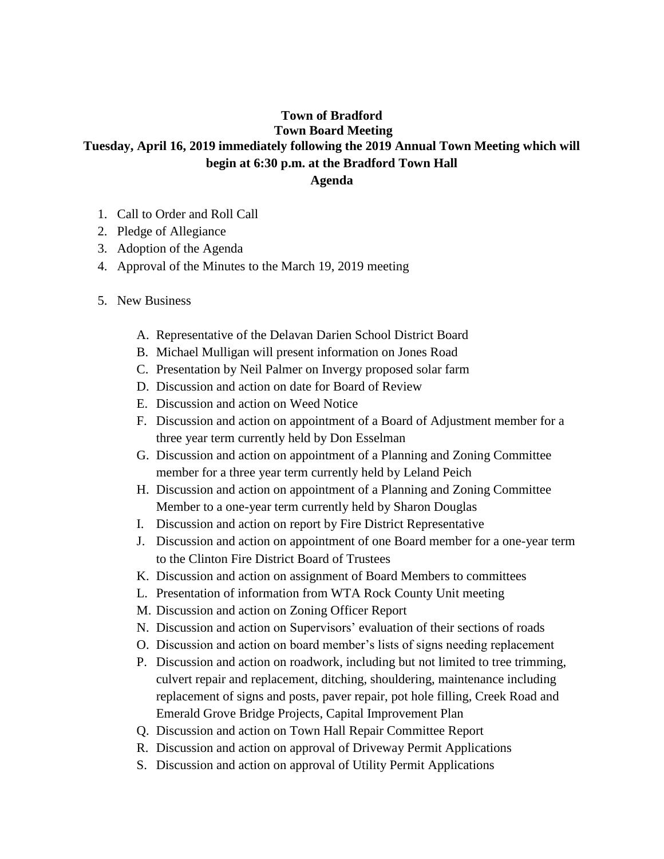## **Town of Bradford Town Board Meeting Tuesday, April 16, 2019 immediately following the 2019 Annual Town Meeting which will begin at 6:30 p.m. at the Bradford Town Hall Agenda**

- 1. Call to Order and Roll Call
- 2. Pledge of Allegiance
- 3. Adoption of the Agenda
- 4. Approval of the Minutes to the March 19, 2019 meeting
- 5. New Business
	- A. Representative of the Delavan Darien School District Board
	- B. Michael Mulligan will present information on Jones Road
	- C. Presentation by Neil Palmer on Invergy proposed solar farm
	- D. Discussion and action on date for Board of Review
	- E. Discussion and action on Weed Notice
	- F. Discussion and action on appointment of a Board of Adjustment member for a three year term currently held by Don Esselman
	- G. Discussion and action on appointment of a Planning and Zoning Committee member for a three year term currently held by Leland Peich
	- H. Discussion and action on appointment of a Planning and Zoning Committee Member to a one-year term currently held by Sharon Douglas
	- I. Discussion and action on report by Fire District Representative
	- J. Discussion and action on appointment of one Board member for a one-year term to the Clinton Fire District Board of Trustees
	- K. Discussion and action on assignment of Board Members to committees
	- L. Presentation of information from WTA Rock County Unit meeting
	- M. Discussion and action on Zoning Officer Report
	- N. Discussion and action on Supervisors' evaluation of their sections of roads
	- O. Discussion and action on board member's lists of signs needing replacement
	- P. Discussion and action on roadwork, including but not limited to tree trimming, culvert repair and replacement, ditching, shouldering, maintenance including replacement of signs and posts, paver repair, pot hole filling, Creek Road and Emerald Grove Bridge Projects, Capital Improvement Plan
	- Q. Discussion and action on Town Hall Repair Committee Report
	- R. Discussion and action on approval of Driveway Permit Applications
	- S. Discussion and action on approval of Utility Permit Applications